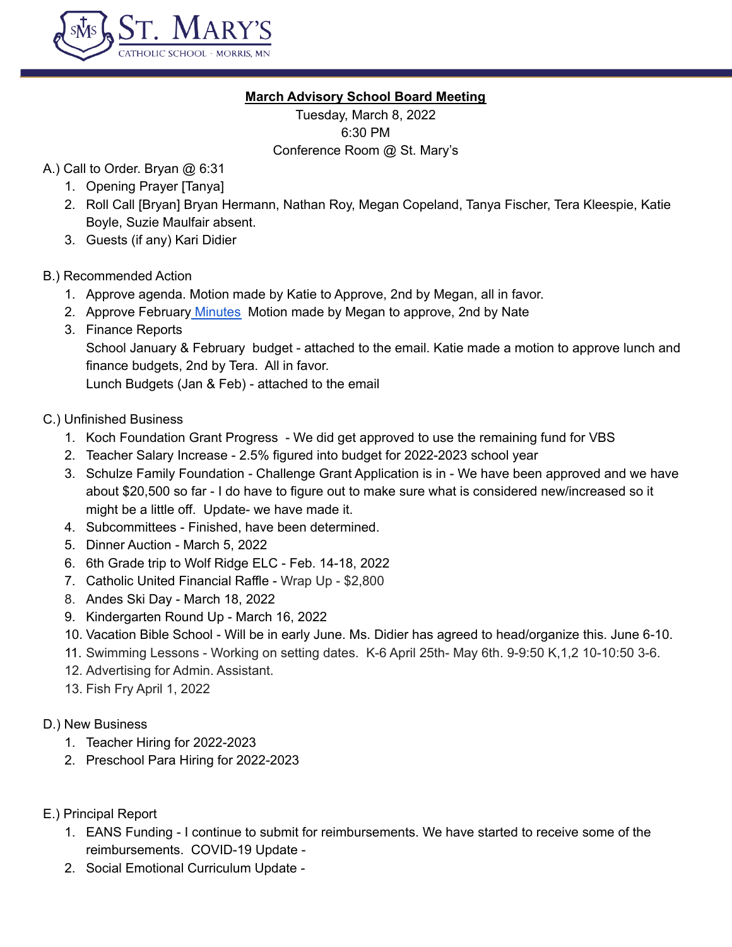

## **March Advisory School Board Meeting**

Tuesday, March 8, 2022 6:30 PM Conference Room @ St. Mary's

- A.) Call to Order. Bryan @ 6:31
	- 1. Opening Prayer [Tanya]
	- 2. Roll Call [Bryan] Bryan Hermann, Nathan Roy, Megan Copeland, Tanya Fischer, Tera Kleespie, Katie Boyle, Suzie Maulfair absent.
	- 3. Guests (if any) Kari Didier

# B.) Recommended Action

- 1. Approve agenda. Motion made by Katie to Approve, 2nd by Megan, all in favor.
- 2. Approve February [Minutes](https://docs.google.com/document/d/1E4FSVnp4-djPpbhp3EaGhegerOgbo-faq18Tvv4uQsY/edit) Motion made by Megan to approve, 2nd by Nate
- 3. Finance Reports School January & February budget - attached to the email. Katie made a motion to approve lunch and finance budgets, 2nd by Tera. All in favor.

Lunch Budgets (Jan & Feb) - attached to the email

# C.) Unfinished Business

- 1. Koch Foundation Grant Progress We did get approved to use the remaining fund for VBS
- 2. Teacher Salary Increase 2.5% figured into budget for 2022-2023 school year
- 3. Schulze Family Foundation Challenge Grant Application is in We have been approved and we have about \$20,500 so far - I do have to figure out to make sure what is considered new/increased so it might be a little off. Update- we have made it.
- 4. Subcommittees Finished, have been determined.
- 5. Dinner Auction March 5, 2022
- 6. 6th Grade trip to Wolf Ridge ELC Feb. 14-18, 2022
- 7. Catholic United Financial Raffle Wrap Up \$2,800
- 8. Andes Ski Day March 18, 2022
- 9. Kindergarten Round Up March 16, 2022
- 10. Vacation Bible School Will be in early June. Ms. Didier has agreed to head/organize this. June 6-10.
- 11. Swimming Lessons Working on setting dates. K-6 April 25th- May 6th. 9-9:50 K,1,2 10-10:50 3-6.
- 12. Advertising for Admin. Assistant.
- 13. Fish Fry April 1, 2022
- D.) New Business
	- 1. Teacher Hiring for 2022-2023
	- 2. Preschool Para Hiring for 2022-2023
- E.) Principal Report
	- 1. EANS Funding I continue to submit for reimbursements. We have started to receive some of the reimbursements. COVID-19 Update -
	- 2. Social Emotional Curriculum Update -